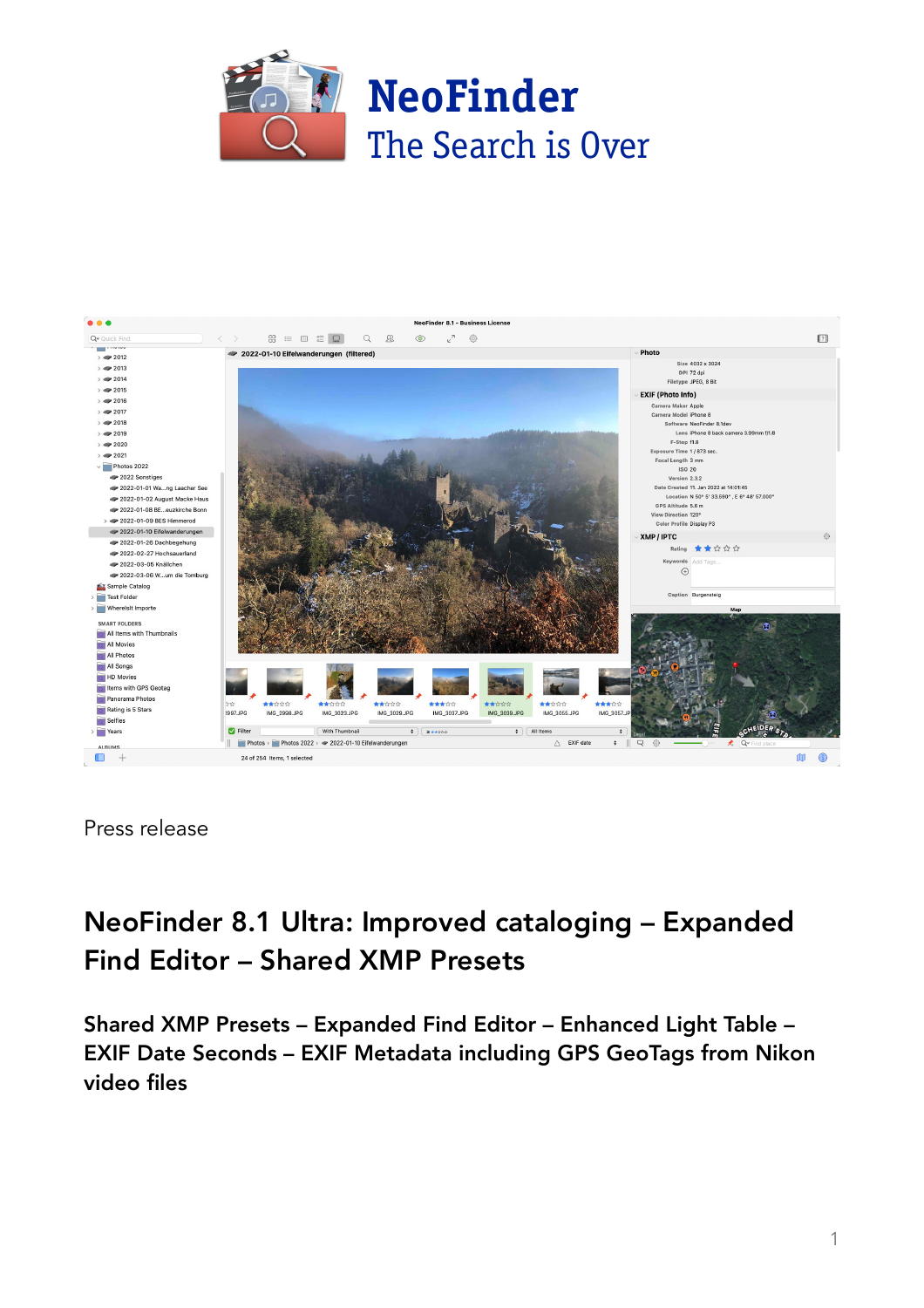



Press release

# NeoFinder 8.1 Ultra: Improved cataloging – Expanded Find Editor – Shared XMP Presets

Shared XMP Presets – Expanded Find Editor – Enhanced Light Table – EXIF Date Seconds – EXIF Metadata including GPS GeoTags from Nikon video files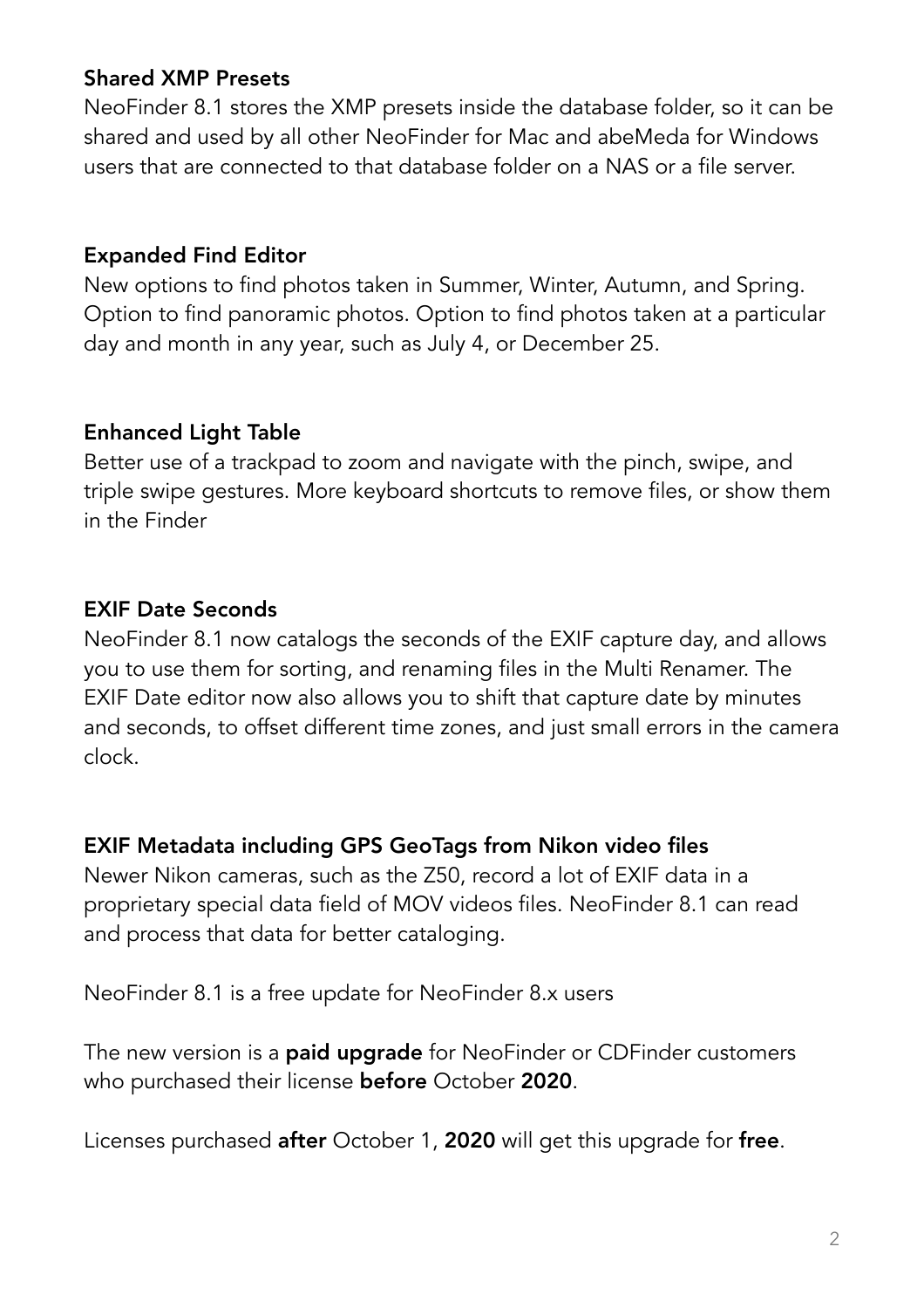# Shared XMP Presets

NeoFinder 8.1 stores the XMP presets inside the database folder, so it can be shared and used by all other NeoFinder for Mac and abeMeda for Windows users that are connected to that database folder on a NAS or a file server.

# Expanded Find Editor

New options to find photos taken in Summer, Winter, Autumn, and Spring. Option to find panoramic photos. Option to find photos taken at a particular day and month in any year, such as July 4, or December 25.

# Enhanced Light Table

Better use of a trackpad to zoom and navigate with the pinch, swipe, and triple swipe gestures. More keyboard shortcuts to remove files, or show them in the Finder

# EXIF Date Seconds

NeoFinder 8.1 now catalogs the seconds of the EXIF capture day, and allows you to use them for sorting, and renaming files in the Multi Renamer. The EXIF Date editor now also allows you to shift that capture date by minutes and seconds, to offset different time zones, and just small errors in the camera clock.

#### EXIF Metadata including GPS GeoTags from Nikon video files

Newer Nikon cameras, such as the Z50, record a lot of EXIF data in a proprietary special data field of MOV videos files. NeoFinder 8.1 can read and process that data for better cataloging.

NeoFinder 8.1 is a free update for NeoFinder 8.x users

The new version is a **paid upgrade** for NeoFinder or CDFinder customers who purchased their license before October 2020.

Licenses purchased after October 1, 2020 will get this upgrade for free.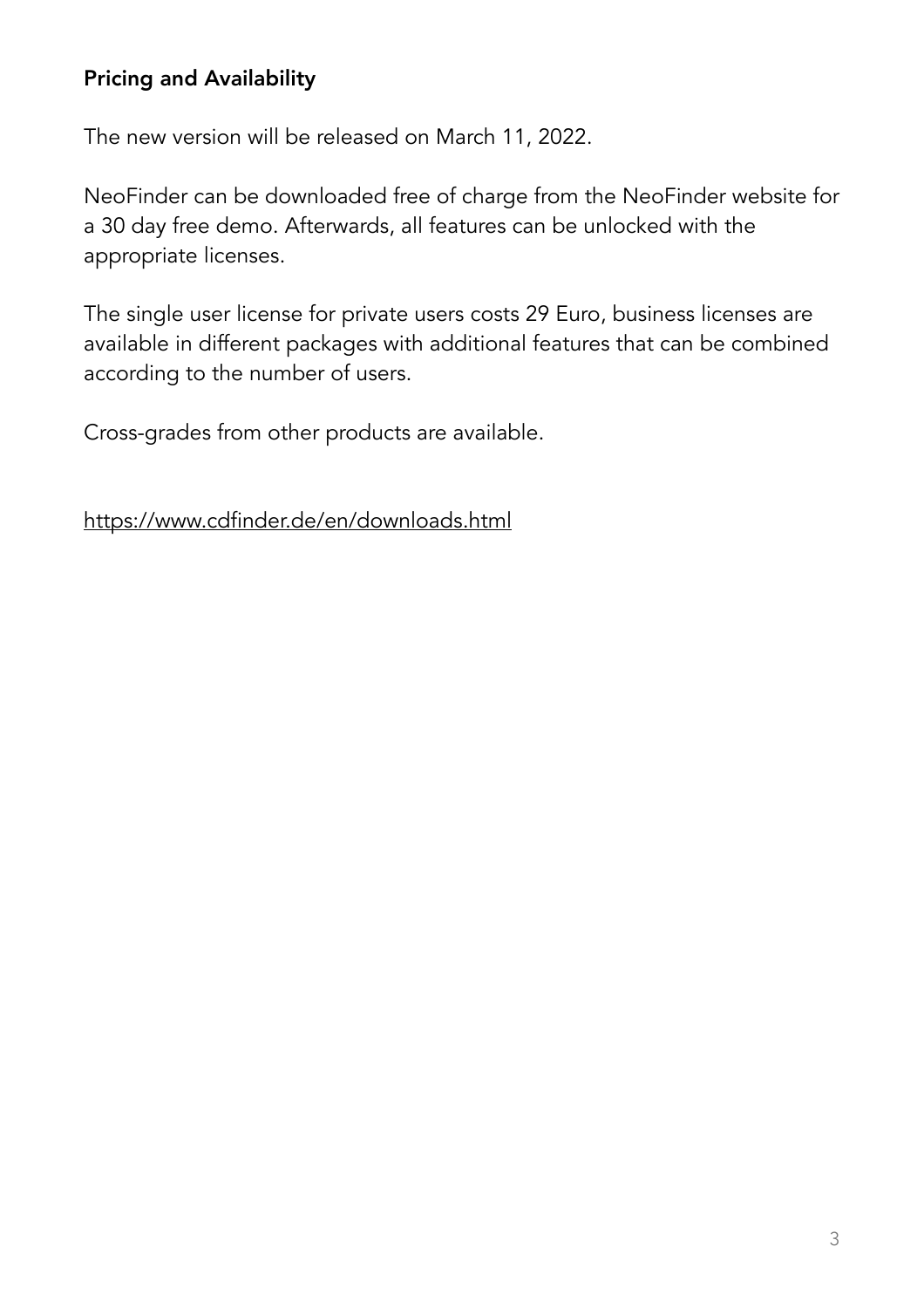# Pricing and Availability

The new version will be released on March 11, 2022.

NeoFinder can be downloaded free of charge from the NeoFinder website for a 30 day free demo. Afterwards, all features can be unlocked with the appropriate licenses.

The single user license for private users costs 29 Euro, business licenses are available in different packages with additional features that can be combined according to the number of users.

Cross-grades from other products are available.

<https://www.cdfinder.de/en/downloads.html>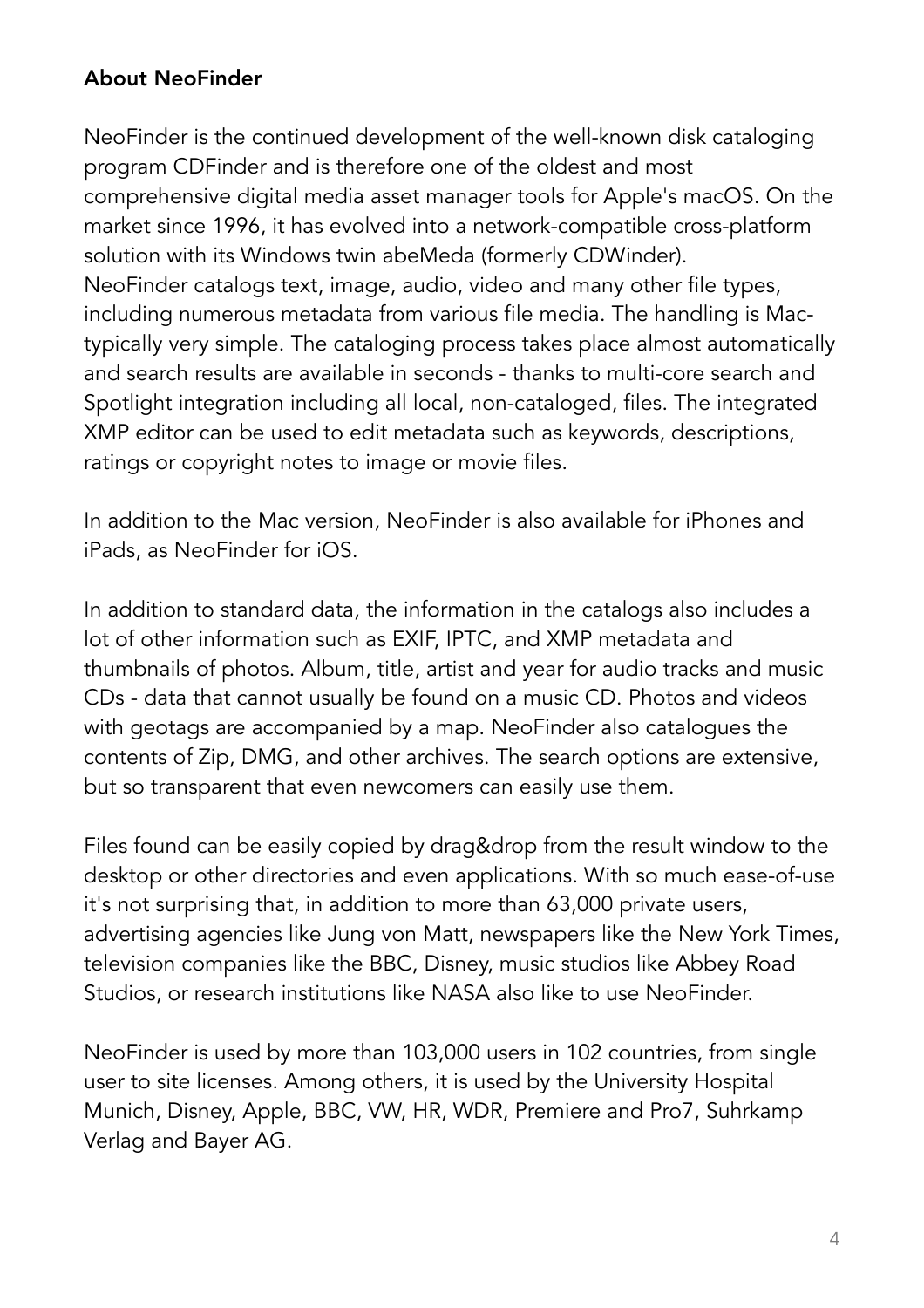# About NeoFinder

NeoFinder is the continued development of the well-known disk cataloging program CDFinder and is therefore one of the oldest and most comprehensive digital media asset manager tools for Apple's macOS. On the market since 1996, it has evolved into a network-compatible cross-platform solution with its Windows twin abeMeda (formerly CDWinder). NeoFinder catalogs text, image, audio, video and many other file types, including numerous metadata from various file media. The handling is Mactypically very simple. The cataloging process takes place almost automatically and search results are available in seconds - thanks to multi-core search and Spotlight integration including all local, non-cataloged, files. The integrated XMP editor can be used to edit metadata such as keywords, descriptions, ratings or copyright notes to image or movie files.

In addition to the Mac version, NeoFinder is also available for iPhones and iPads, as NeoFinder for iOS.

In addition to standard data, the information in the catalogs also includes a lot of other information such as EXIF, IPTC, and XMP metadata and thumbnails of photos. Album, title, artist and year for audio tracks and music CDs - data that cannot usually be found on a music CD. Photos and videos with geotags are accompanied by a map. NeoFinder also catalogues the contents of Zip, DMG, and other archives. The search options are extensive, but so transparent that even newcomers can easily use them.

Files found can be easily copied by drag&drop from the result window to the desktop or other directories and even applications. With so much ease-of-use it's not surprising that, in addition to more than 63,000 private users, advertising agencies like Jung von Matt, newspapers like the New York Times, television companies like the BBC, Disney, music studios like Abbey Road Studios, or research institutions like NASA also like to use NeoFinder.

NeoFinder is used by more than 103,000 users in 102 countries, from single user to site licenses. Among others, it is used by the University Hospital Munich, Disney, Apple, BBC, VW, HR, WDR, Premiere and Pro7, Suhrkamp Verlag and Bayer AG.